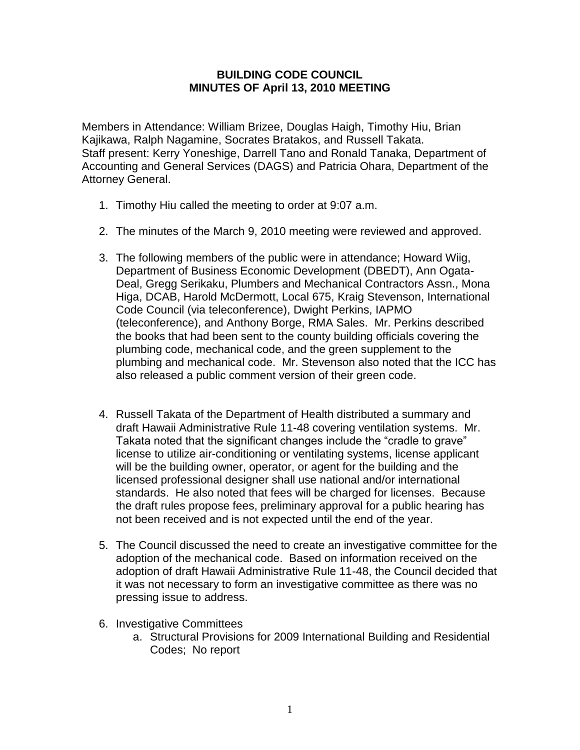## **BUILDING CODE COUNCIL MINUTES OF April 13, 2010 MEETING**

Members in Attendance: William Brizee, Douglas Haigh, Timothy Hiu, Brian Kajikawa, Ralph Nagamine, Socrates Bratakos, and Russell Takata. Staff present: Kerry Yoneshige, Darrell Tano and Ronald Tanaka, Department of Accounting and General Services (DAGS) and Patricia Ohara, Department of the Attorney General.

- 1. Timothy Hiu called the meeting to order at 9:07 a.m.
- 2. The minutes of the March 9, 2010 meeting were reviewed and approved.
- 3. The following members of the public were in attendance; Howard Wiig, Department of Business Economic Development (DBEDT), Ann Ogata-Deal, Gregg Serikaku, Plumbers and Mechanical Contractors Assn., Mona Higa, DCAB, Harold McDermott, Local 675, Kraig Stevenson, International Code Council (via teleconference), Dwight Perkins, IAPMO (teleconference), and Anthony Borge, RMA Sales. Mr. Perkins described the books that had been sent to the county building officials covering the plumbing code, mechanical code, and the green supplement to the plumbing and mechanical code. Mr. Stevenson also noted that the ICC has also released a public comment version of their green code.
- 4. Russell Takata of the Department of Health distributed a summary and draft Hawaii Administrative Rule 11-48 covering ventilation systems. Mr. Takata noted that the significant changes include the "cradle to grave" license to utilize air-conditioning or ventilating systems, license applicant will be the building owner, operator, or agent for the building and the licensed professional designer shall use national and/or international standards. He also noted that fees will be charged for licenses. Because the draft rules propose fees, preliminary approval for a public hearing has not been received and is not expected until the end of the year.
- 5. The Council discussed the need to create an investigative committee for the adoption of the mechanical code. Based on information received on the adoption of draft Hawaii Administrative Rule 11-48, the Council decided that it was not necessary to form an investigative committee as there was no pressing issue to address.
- 6. Investigative Committees
	- a. Structural Provisions for 2009 International Building and Residential Codes; No report